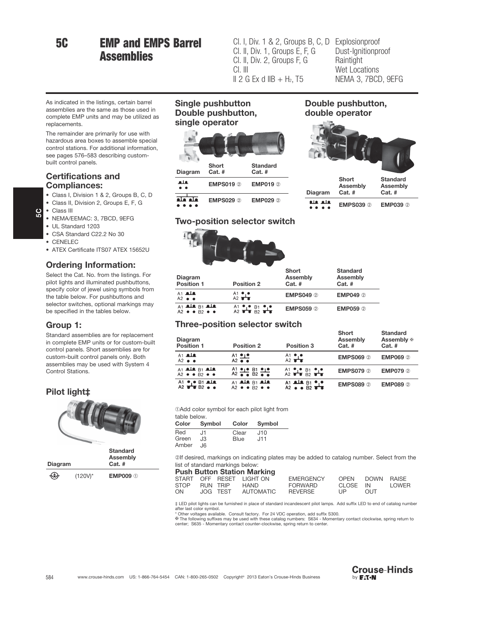## 5C EMP and EMPS Barrel **Assemblies**

Cl. I, Div. 1 & 2, Groups B, C, D Explosionproof Cl. II, Div. 1, Groups E, F, G Cl. II, Div. 2, Groups F, G Cl. III  $II$  2 G Ex d IIB + H<sub>2</sub>, T5

Dust-Ignitionproof **Raintight** Wet Locations NEMA 3, 7BCD, 9EFG

Double pushbutton, double operator

> Short Assembly Cat. #

**Standard** Assembly Cat. #

EMPS039 ➁ EMP039 ➁

Diagram

فلعا فلغ

 $\bullet$   $\bullet$   $\bullet$   $\bullet$ 

As indicated in the listings, certain barrel assemblies are the same as those used in complete EMP units and may be utilized as replacements.

The remainder are primarily for use with hazardous area boxes to assemble special control stations. For additional information, see pages 576–583 describing custombuilt control panels.

#### Certifications and Compliances:

- Class I, Division 1 & 2, Groups B, C, D
- Class II, Division 2, Groups E, F, G
- Class III

 $\mathbf{g}$ 

- NEMA/EEMAC: 3, 7BCD, 9EFG
- UL Standard 1203
- CSA Standard C22.2 No 30
- CENELEC
- ATEX Certificate ITS07 ATEX 15652U

#### Ordering Information:

Select the Cat. No. from the listings. For pilot lights and illuminated pushbuttons, specify color of jewel using symbols from the table below. For pushbuttons and selector switches, optional markings may be specified in the tables below.

#### Group 1:

Standard assemblies are for replacement in complete EMP units or for custom-built control panels. Short assemblies are for custom-built control panels only. Both assemblies may be used with System 4 Control Stations.

#### Pilot light‡



#### Single pushbutton Double pushbutton, single operator



# $\bullet\bullet\bullet\bullet$

#### Two-position selector switch



| Diagram<br>Position 1                                     | <b>Position 2</b>       | Short<br>Assembly<br>$Cat.$ # | <b>Standard</b><br>Assembly<br>$Cat.$ # |
|-----------------------------------------------------------|-------------------------|-------------------------------|-----------------------------------------|
| $A1$ ale<br>$A2 \bullet \bullet$                          | A1 $\frac{\bullet}{A2}$ | <b>EMPS049 2</b>              | <b>EMP049 2</b>                         |
| $A1$ als $B1$ als<br>$A2 \bullet A2 \bullet B2 \bullet A$ | $A1 = B1 = B1$          | <b>EMPS059 2</b>              | <b>EMP059 2</b>                         |

#### Three-position selector switch

| Diagram<br>Position 1                                     | <b>Position 2</b>                              | <b>Position 3</b>                                    | Short<br>Assembly<br>$Cat.$ # | <b>Standard</b><br>Assembly ⊕<br>$Cat.$ # |
|-----------------------------------------------------------|------------------------------------------------|------------------------------------------------------|-------------------------------|-------------------------------------------|
| A1 <b>ale</b><br>$A2 \bullet \bullet$                     | $A1 \bullet$<br>$A2 \bullet \bullet$           | $A1 \bullet P$                                       | <b>EMPS069 2</b>              | <b>EMP069 2</b>                           |
| $A1$ als $B1$ als<br>$A2 \bullet A2 \bullet B2 \bullet A$ | $A_2^1 \bullet \bullet B_2^1 \bullet \bullet$  | $A1$ $B1$ $B1$ $B1$                                  | <b>EMPS079 2</b>              | <b>EMP079 2</b>                           |
| A1 $\bullet$ B1 ala                                       | $A1$ als $B1$ als<br>$A2 \bullet B2 \bullet A$ | A1 ale $B1$ a.e.<br>A2 $\bullet$ $\bullet$ $B2$ a.e. | <b>EMPS089 2</b>              | <b>EMP089 2</b>                           |

➀Add color symbol for each pilot light from

| table below. |              |             |              |  |  |  |
|--------------|--------------|-------------|--------------|--|--|--|
|              | Color Symbol |             | Color Symbol |  |  |  |
| Red          | 11،          | Clear       | J10          |  |  |  |
| Green        | JЗ           | <b>Blue</b> | J11          |  |  |  |
| Amber        | .I6          |             |              |  |  |  |

➁If desired, markings on indicating plates may be added to catalog number. Select from the list of standard markings below:

| <b>Push Button Station Marking</b> |  |  |                          |                  |                                    |                 |       |
|------------------------------------|--|--|--------------------------|------------------|------------------------------------|-----------------|-------|
|                                    |  |  | START OFF RESET LIGHT ON | <b>EMERGENCY</b> |                                    | OPEN DOWN RAISE |       |
| STOP RUN TRIP                      |  |  | HAND                     | FORWARD          | CLOSE IN                           |                 | LOWER |
| ON                                 |  |  | JOG TEST AUTOMATIC       | REVERSE          | $\mathsf{I} \mathsf{I} \mathsf{P}$ | <b>OUT</b>      |       |

‡ LED pilot lights can be furnished in place of standard incandescent pilot lamps. Add suffix LED to end of catalog number<br>after last color symbol.<br>\* Other voltages available. Consult factory. For 24 VDC operation, add

✠ The following suffixes may be used with these catalog numbers: S634 - Momentary contact clockwise, spring return to center; S635 - Momentary contact counter-clockwise, spring return to center.

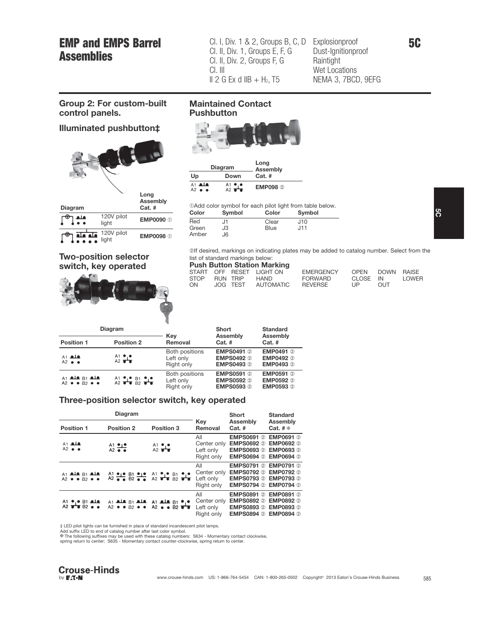### EMP and EMPS Barrel **Assemblies**

Cl. I, Div. 1 & 2, Groups B, C, D Explosionproof Cl. II, Div. 1, Groups E, F, G Cl. II, Div. 2, Groups F, G Cl. III  $II$  2 G Ex d IIB + H<sub>2</sub>, T5

Dust-Ignitionproof **Raintight** Wet Locations NEMA 3, 7BCD, 9EFG

#### Group 2: For custom-built control panels.

#### Illuminated pushbutton‡



Two-position selector switch, key operated

# **Pushbutton**

Maintained Contact



| <b>Diagram</b>      | Long<br><b>Assembly</b> |          |
|---------------------|-------------------------|----------|
| Up                  | Down                    | $Cat.$ # |
| A1 <b>ala</b><br>A2 | $A1 \bullet P$          | EMP098 2 |

➀Add color symbol for each pilot light from table below.

| Color | Symbol | Color | Symbol |
|-------|--------|-------|--------|
| Red   | J٦     | Clear | J10    |
| Green | JЗ     | Blue  | J11    |
| Amber | J6.    |       |        |

➁If desired, markings on indicating plates may be added to catalog number. Select from the list of standard markings below:<br>**Push Button Station Mar** 

| <b>Push Button Station Marking</b> |  |  |                         |                  |          |                 |       |
|------------------------------------|--|--|-------------------------|------------------|----------|-----------------|-------|
|                                    |  |  | START OFF RESET LIGHTON | <b>EMERGENCY</b> |          | OPEN DOWN RAISE |       |
| STOP RUN TRIP                      |  |  | HAND                    | FORWARD          | CLOSE IN |                 | LOWER |
| ON                                 |  |  | JOG TEST AUTOMATIC      | REVERSE          | I IP     | OUT.            |       |

| <b>Diagram</b>                               |                   |                                           | <b>Short</b>                                                | <b>Standard</b>                            |  |
|----------------------------------------------|-------------------|-------------------------------------------|-------------------------------------------------------------|--------------------------------------------|--|
| Position 1                                   | <b>Position 2</b> | Key<br>Removal                            | Assembly<br>$Cat.$ #                                        | Assembly<br>$Cat.$ #                       |  |
| $A1$ als<br>$A2 \bullet \bullet$             | $A1 \bullet P$    | Both positions<br>Left only<br>Right only | <b>EMPS0491 2</b><br><b>EMPS0492 2</b><br><b>EMPS0493 2</b> | EMP0491 2<br><b>EMP0492 2</b><br>EMP0493 2 |  |
| At als $B1$ als<br>$A2 \bullet B2 \bullet A$ | $A1 = B1 = B1$    | Both positions<br>Left only<br>Right only | <b>EMPS0591 2</b><br><b>EMPS0592 2</b><br>EMPS0593 2        | EMP0591 2<br><b>EMP0592 2</b><br>EMP0593 2 |  |

#### Three-position selector switch, key operated

|                                                      | <b>Diagram</b>           |                                                                                                                                  | Short                                         | <b>Standard</b><br>Assembly<br>Cat. $# \oplus$                                                   |                               |
|------------------------------------------------------|--------------------------|----------------------------------------------------------------------------------------------------------------------------------|-----------------------------------------------|--------------------------------------------------------------------------------------------------|-------------------------------|
| <b>Position 1</b><br><b>Position 2</b><br>Position 3 |                          |                                                                                                                                  | Key<br>Removal                                |                                                                                                  |                               |
| $A1$ ale<br>$A2 \bullet \bullet$                     | $A1 \bullet_1 \bullet_1$ | $A1$ $A2$                                                                                                                        | All<br>Center only<br>Left only<br>Right only | <b>EMPS0691 2</b><br><b>EMPS0692 2</b><br>EMPS0693 2 EMP0693 2<br><b>EMPS0694 2 EMP0694 2</b>    | EMP0691 2<br><b>EMP0692 2</b> |
| A1 ala B1 ala<br>$A2 \bullet B2 \bullet A$           |                          | $A1 = B1 = B1 = A1 = A2 = B1 = A2$                                                                                               | All<br>Center only<br>Left only<br>Right only | <b>EMPS0791 2</b><br><b>EMPS0792 2 EMP0792 2</b><br>EMPS0793 2 EMP0793 2<br>EMPS0794 2 EMP0794 2 | <b>EMP0791 2</b>              |
| $A1 \bullet \bullet B1$ ale                          |                          | A1 ale B1 ale A1 ale B1 $\bullet$ $\bullet$<br>A2 $\bullet$ $\bullet$ B2 $\bullet$ $\bullet$ A2 $\bullet$ $\bullet$ B2 $\bullet$ | All<br>Center only<br>Left only<br>Right only | <b>EMPS0891 2</b><br>EMPS0892 2 EMP0892 2<br>EMPS0893 2 EMP0893 2<br><b>EMPS0894 2 EMP0894 2</b> | <b>EMP0891 2</b>              |

‡ LED pilot lights can be furnished in place of standard incandescent pilot lamps.<br>Add suffix LED to end of catalog number after last color symbol.<br>ቝ The following suffixes may be used with these catalog numbers: S634 - M

spring return to center; S635 - Momentary contact counter-clockwise, spring return to center.

5C